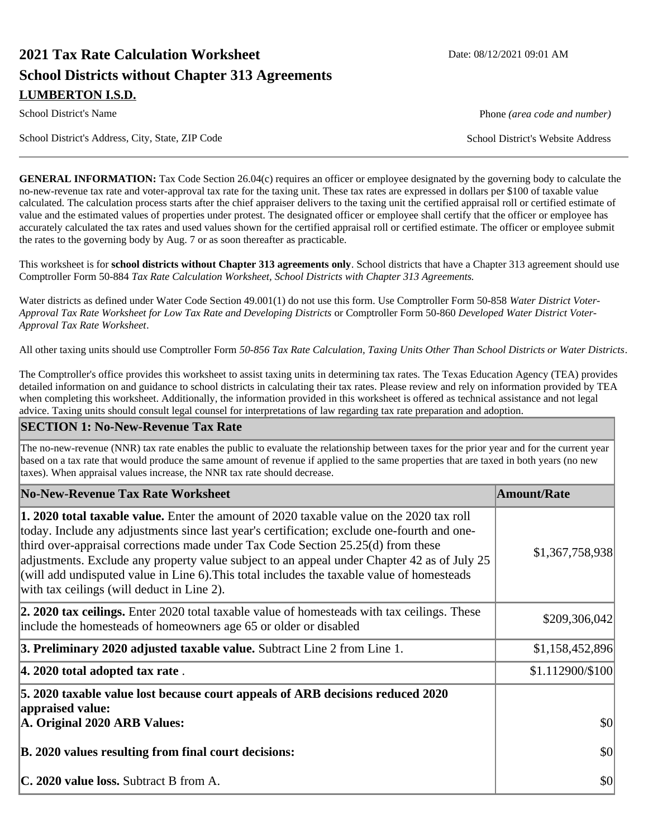# **2021 Tax Rate Calculation Worksheet Date: 08/12/2021 09:01 AM School Districts without Chapter 313 Agreements LUMBERTON I.S.D.**

School District's Address, City, State, ZIP Code School District's Website Address

School District's Name **Phone** *(area code and number)* Phone *(area code and number)* 

**GENERAL INFORMATION:** Tax Code Section 26.04(c) requires an officer or employee designated by the governing body to calculate the no-new-revenue tax rate and voter-approval tax rate for the taxing unit. These tax rates are expressed in dollars per \$100 of taxable value calculated. The calculation process starts after the chief appraiser delivers to the taxing unit the certified appraisal roll or certified estimate of value and the estimated values of properties under protest. The designated officer or employee shall certify that the officer or employee has accurately calculated the tax rates and used values shown for the certified appraisal roll or certified estimate. The officer or employee submit the rates to the governing body by Aug. 7 or as soon thereafter as practicable.

This worksheet is for **school districts without Chapter 313 agreements only**. School districts that have a Chapter 313 agreement should use Comptroller Form 50-884 *Tax Rate Calculation Worksheet, School Districts with Chapter 313 Agreements.*

Water districts as defined under Water Code Section 49.001(1) do not use this form. Use Comptroller Form 50-858 *Water District Voter-Approval Tax Rate Worksheet for Low Tax Rate and Developing Districts* or Comptroller Form 50-860 *Developed Water District Voter-Approval Tax Rate Worksheet*.

All other taxing units should use Comptroller Form *50-856 Tax Rate Calculation, Taxing Units Other Than School Districts or Water Districts*.

The Comptroller's office provides this worksheet to assist taxing units in determining tax rates. The Texas Education Agency (TEA) provides detailed information on and guidance to school districts in calculating their tax rates. Please review and rely on information provided by TEA when completing this worksheet. Additionally, the information provided in this worksheet is offered as technical assistance and not legal advice. Taxing units should consult legal counsel for interpretations of law regarding tax rate preparation and adoption.

#### **SECTION 1: No-New-Revenue Tax Rate**

The no-new-revenue (NNR) tax rate enables the public to evaluate the relationship between taxes for the prior year and for the current year based on a tax rate that would produce the same amount of revenue if applied to the same properties that are taxed in both years (no new taxes). When appraisal values increase, the NNR tax rate should decrease.

| No-New-Revenue Tax Rate Worksheet                                                                                                                                                                                                                                                                                                                                                                                                                                                                                               | <b>Amount/Rate</b> |
|---------------------------------------------------------------------------------------------------------------------------------------------------------------------------------------------------------------------------------------------------------------------------------------------------------------------------------------------------------------------------------------------------------------------------------------------------------------------------------------------------------------------------------|--------------------|
| <b>1. 2020 total taxable value.</b> Enter the amount of 2020 taxable value on the 2020 tax roll<br>today. Include any adjustments since last year's certification; exclude one-fourth and one-<br>third over-appraisal corrections made under Tax Code Section $25.25(d)$ from these<br>adjustments. Exclude any property value subject to an appeal under Chapter 42 as of July 25<br>(will add undisputed value in Line 6). This total includes the taxable value of homesteads<br>with tax ceilings (will deduct in Line 2). | \$1,367,758,938    |
| <b>2. 2020 tax ceilings.</b> Enter 2020 total taxable value of homesteads with tax ceilings. These<br>include the homesteads of homeowners age 65 or older or disabled                                                                                                                                                                                                                                                                                                                                                          | \$209,306,042      |
| 3. Preliminary 2020 adjusted taxable value. Subtract Line 2 from Line 1.                                                                                                                                                                                                                                                                                                                                                                                                                                                        | \$1,158,452,896    |
| $ 4.2020$ total adopted tax rate.                                                                                                                                                                                                                                                                                                                                                                                                                                                                                               | \$1.112900/\$100   |
| 5. 2020 taxable value lost because court appeals of ARB decisions reduced 2020<br>appraised value:<br>A. Original 2020 ARB Values:                                                                                                                                                                                                                                                                                                                                                                                              | \$0                |
| B. 2020 values resulting from final court decisions:                                                                                                                                                                                                                                                                                                                                                                                                                                                                            | $ 10\rangle$       |
| <b>C. 2020 value loss.</b> Subtract B from A.                                                                                                                                                                                                                                                                                                                                                                                                                                                                                   | $ 10\rangle$       |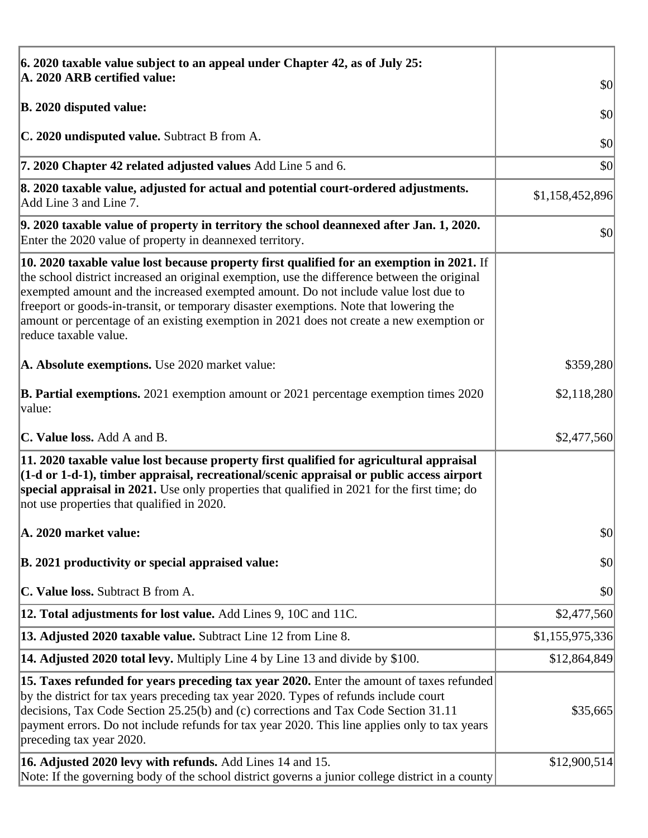| 6. 2020 taxable value subject to an appeal under Chapter 42, as of July 25:                                                                                                                                                                                                                                                                                                                                                                                                                     |                 |
|-------------------------------------------------------------------------------------------------------------------------------------------------------------------------------------------------------------------------------------------------------------------------------------------------------------------------------------------------------------------------------------------------------------------------------------------------------------------------------------------------|-----------------|
| A. 2020 ARB certified value:                                                                                                                                                                                                                                                                                                                                                                                                                                                                    | \$0             |
| B. 2020 disputed value:                                                                                                                                                                                                                                                                                                                                                                                                                                                                         | \$0             |
| C. 2020 undisputed value. Subtract B from A.                                                                                                                                                                                                                                                                                                                                                                                                                                                    | \$0             |
| 7. 2020 Chapter 42 related adjusted values Add Line 5 and 6.                                                                                                                                                                                                                                                                                                                                                                                                                                    | \$0             |
| 8. 2020 taxable value, adjusted for actual and potential court-ordered adjustments.<br>Add Line 3 and Line 7.                                                                                                                                                                                                                                                                                                                                                                                   | \$1,158,452,896 |
| $\left 9.2020\right $ taxable value of property in territory the school deannexed after Jan. 1, 2020.<br>Enter the 2020 value of property in deannexed territory.                                                                                                                                                                                                                                                                                                                               | \$0             |
| 10. 2020 taxable value lost because property first qualified for an exemption in 2021. If<br>the school district increased an original exemption, use the difference between the original<br>exempted amount and the increased exempted amount. Do not include value lost due to<br>freeport or goods-in-transit, or temporary disaster exemptions. Note that lowering the<br>amount or percentage of an existing exemption in 2021 does not create a new exemption or<br>reduce taxable value. |                 |
| A. Absolute exemptions. Use 2020 market value:                                                                                                                                                                                                                                                                                                                                                                                                                                                  | \$359,280       |
| <b>B. Partial exemptions.</b> 2021 exemption amount or 2021 percentage exemption times 2020<br> value:                                                                                                                                                                                                                                                                                                                                                                                          | \$2,118,280     |
| <b>C. Value loss.</b> Add A and B.                                                                                                                                                                                                                                                                                                                                                                                                                                                              | \$2,477,560     |
| 11. 2020 taxable value lost because property first qualified for agricultural appraisal<br>$(1-d \text{ or } 1-d-1)$ , timber appraisal, recreational/scenic appraisal or public access airport<br>special appraisal in 2021. Use only properties that qualified in 2021 for the first time; do<br>not use properties that qualified in 2020.                                                                                                                                                   |                 |
| A. 2020 market value:                                                                                                                                                                                                                                                                                                                                                                                                                                                                           | \$0             |
| B. 2021 productivity or special appraised value:                                                                                                                                                                                                                                                                                                                                                                                                                                                | \$0             |
| <b>C. Value loss.</b> Subtract B from A.                                                                                                                                                                                                                                                                                                                                                                                                                                                        | \$0             |
| 12. Total adjustments for lost value. Add Lines 9, 10C and 11C.                                                                                                                                                                                                                                                                                                                                                                                                                                 | \$2,477,560     |
| 13. Adjusted 2020 taxable value. Subtract Line 12 from Line 8.                                                                                                                                                                                                                                                                                                                                                                                                                                  | \$1,155,975,336 |
| <b>14. Adjusted 2020 total levy.</b> Multiply Line 4 by Line 13 and divide by \$100.                                                                                                                                                                                                                                                                                                                                                                                                            | \$12,864,849    |
| [15. Taxes refunded for years preceding tax year 2020. Enter the amount of taxes refunded<br>by the district for tax years preceding tax year 2020. Types of refunds include court<br>decisions, Tax Code Section 25.25(b) and (c) corrections and Tax Code Section 31.11<br>payment errors. Do not include refunds for tax year 2020. This line applies only to tax years<br>preceding tax year 2020.                                                                                          | \$35,665        |
| 16. Adjusted 2020 levy with refunds. Add Lines 14 and 15.<br>Note: If the governing body of the school district governs a junior college district in a county                                                                                                                                                                                                                                                                                                                                   | \$12,900,514    |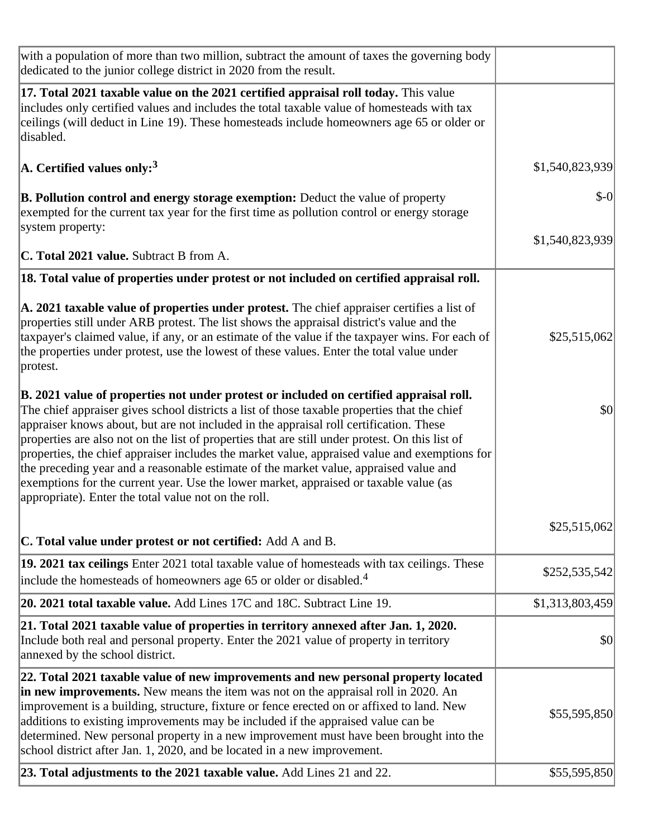| with a population of more than two million, subtract the amount of taxes the governing body<br>dedicated to the junior college district in 2020 from the result.                                                                                                                                                                                                                                                                                                                                                                                                                                                                                                                                                               |                 |
|--------------------------------------------------------------------------------------------------------------------------------------------------------------------------------------------------------------------------------------------------------------------------------------------------------------------------------------------------------------------------------------------------------------------------------------------------------------------------------------------------------------------------------------------------------------------------------------------------------------------------------------------------------------------------------------------------------------------------------|-----------------|
| 17. Total 2021 taxable value on the 2021 certified appraisal roll today. This value<br>includes only certified values and includes the total taxable value of homesteads with tax<br>ceilings (will deduct in Line 19). These homesteads include homeowners age 65 or older or<br>disabled.                                                                                                                                                                                                                                                                                                                                                                                                                                    |                 |
| $\rm{A.}$ Certified values only: $^3$                                                                                                                                                                                                                                                                                                                                                                                                                                                                                                                                                                                                                                                                                          | \$1,540,823,939 |
| <b>B. Pollution control and energy storage exemption:</b> Deduct the value of property<br>exempted for the current tax year for the first time as pollution control or energy storage<br>system property:                                                                                                                                                                                                                                                                                                                                                                                                                                                                                                                      | $$-0$           |
| <b>C. Total 2021 value.</b> Subtract B from A.                                                                                                                                                                                                                                                                                                                                                                                                                                                                                                                                                                                                                                                                                 | \$1,540,823,939 |
|                                                                                                                                                                                                                                                                                                                                                                                                                                                                                                                                                                                                                                                                                                                                |                 |
| 18. Total value of properties under protest or not included on certified appraisal roll.                                                                                                                                                                                                                                                                                                                                                                                                                                                                                                                                                                                                                                       |                 |
| $\vert$ A. 2021 taxable value of properties under protest. The chief appraiser certifies a list of<br>properties still under ARB protest. The list shows the appraisal district's value and the<br>taxpayer's claimed value, if any, or an estimate of the value if the taxpayer wins. For each of<br>the properties under protest, use the lowest of these values. Enter the total value under<br>protest.                                                                                                                                                                                                                                                                                                                    | \$25,515,062    |
| B. 2021 value of properties not under protest or included on certified appraisal roll.<br>The chief appraiser gives school districts a list of those taxable properties that the chief<br>appraiser knows about, but are not included in the appraisal roll certification. These<br>properties are also not on the list of properties that are still under protest. On this list of<br>properties, the chief appraiser includes the market value, appraised value and exemptions for<br>the preceding year and a reasonable estimate of the market value, appraised value and<br>exemptions for the current year. Use the lower market, appraised or taxable value (as<br>appropriate). Enter the total value not on the roll. | \$0             |
| <b>C. Total value under protest or not certified:</b> Add A and B.                                                                                                                                                                                                                                                                                                                                                                                                                                                                                                                                                                                                                                                             | \$25,515,062    |
| 19. 2021 tax ceilings Enter 2021 total taxable value of homesteads with tax ceilings. These<br>include the homesteads of homeowners age 65 or older or disabled. <sup>4</sup>                                                                                                                                                                                                                                                                                                                                                                                                                                                                                                                                                  | \$252,535,542   |
| 20. 2021 total taxable value. Add Lines 17C and 18C. Subtract Line 19.                                                                                                                                                                                                                                                                                                                                                                                                                                                                                                                                                                                                                                                         | \$1,313,803,459 |
| 21. Total 2021 taxable value of properties in territory annexed after Jan. 1, 2020.<br>Include both real and personal property. Enter the 2021 value of property in territory<br>annexed by the school district.                                                                                                                                                                                                                                                                                                                                                                                                                                                                                                               | \$0             |
| 22. Total 2021 taxable value of new improvements and new personal property located<br>in new improvements. New means the item was not on the appraisal roll in 2020. An<br>improvement is a building, structure, fixture or fence erected on or affixed to land. New<br>additions to existing improvements may be included if the appraised value can be<br>determined. New personal property in a new improvement must have been brought into the<br>school district after Jan. 1, 2020, and be located in a new improvement.                                                                                                                                                                                                 | \$55,595,850    |
| 23. Total adjustments to the 2021 taxable value. Add Lines 21 and 22.                                                                                                                                                                                                                                                                                                                                                                                                                                                                                                                                                                                                                                                          | \$55,595,850    |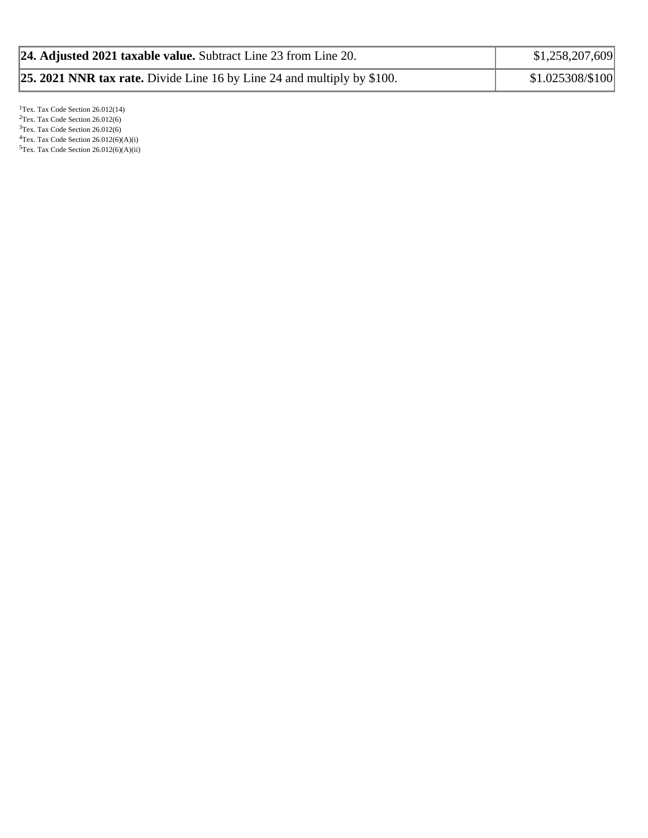| 24. Adjusted 2021 taxable value. Subtract Line 23 from Line 20.                | \$1,258,207,609  |
|--------------------------------------------------------------------------------|------------------|
| <b>25. 2021 NNR tax rate.</b> Divide Line 16 by Line 24 and multiply by \$100. | \$1.025308/\$100 |

<sup>1</sup>Tex. Tax Code Section 26.012(14)  $2$ Tex. Tax Code Section 26.012(6) <sup>3</sup>Tex. Tax Code Section 26.012(6)  ${}^{4}$ Tex. Tax Code Section 26.012(6)(A)(i)  $5$ Tex. Tax Code Section 26.012(6)(A)(ii)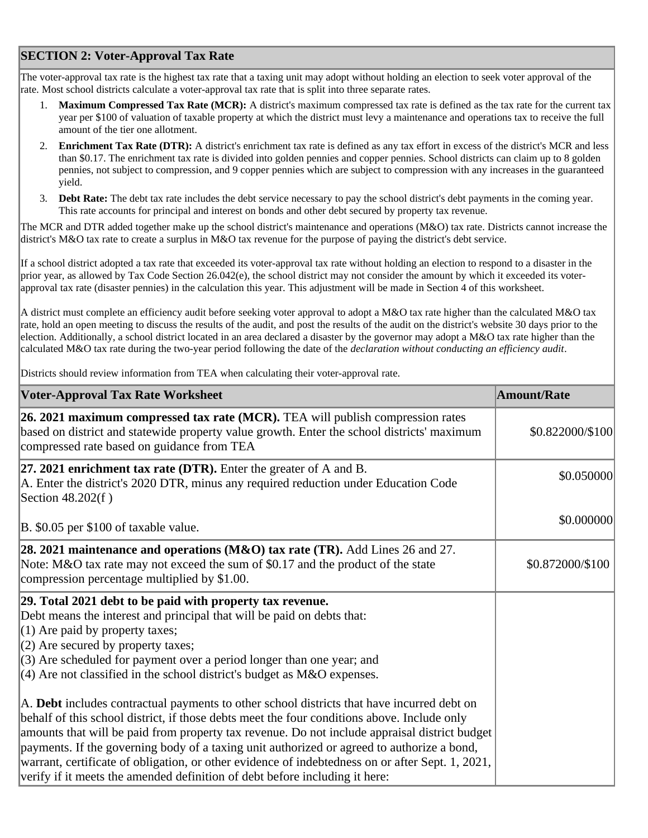## **SECTION 2: Voter-Approval Tax Rate**

The voter-approval tax rate is the highest tax rate that a taxing unit may adopt without holding an election to seek voter approval of the rate. Most school districts calculate a voter-approval tax rate that is split into three separate rates.

- 1. **Maximum Compressed Tax Rate (MCR):** A district's maximum compressed tax rate is defined as the tax rate for the current tax year per \$100 of valuation of taxable property at which the district must levy a maintenance and operations tax to receive the full amount of the tier one allotment.
- 2. **Enrichment Tax Rate (DTR):** A district's enrichment tax rate is defined as any tax effort in excess of the district's MCR and less than \$0.17. The enrichment tax rate is divided into golden pennies and copper pennies. School districts can claim up to 8 golden pennies, not subject to compression, and 9 copper pennies which are subject to compression with any increases in the guaranteed yield.
- 3. **Debt Rate:** The debt tax rate includes the debt service necessary to pay the school district's debt payments in the coming year. This rate accounts for principal and interest on bonds and other debt secured by property tax revenue.

The MCR and DTR added together make up the school district's maintenance and operations (M&O) tax rate. Districts cannot increase the district's M&O tax rate to create a surplus in M&O tax revenue for the purpose of paying the district's debt service.

If a school district adopted a tax rate that exceeded its voter-approval tax rate without holding an election to respond to a disaster in the prior year, as allowed by Tax Code Section 26.042(e), the school district may not consider the amount by which it exceeded its voterapproval tax rate (disaster pennies) in the calculation this year. This adjustment will be made in Section 4 of this worksheet.

A district must complete an efficiency audit before seeking voter approval to adopt a M&O tax rate higher than the calculated M&O tax rate, hold an open meeting to discuss the results of the audit, and post the results of the audit on the district's website 30 days prior to the election. Additionally, a school district located in an area declared a disaster by the governor may adopt a M&O tax rate higher than the calculated M&O tax rate during the two-year period following the date of the *declaration without conducting an efficiency audit*.

Districts should review information from TEA when calculating their voter-approval rate.

| <b>Voter-Approval Tax Rate Worksheet</b>                                                                                                                                                                                                                                                                                                                                                                                                                                                                                                                                    | <b>Amount/Rate</b> |
|-----------------------------------------------------------------------------------------------------------------------------------------------------------------------------------------------------------------------------------------------------------------------------------------------------------------------------------------------------------------------------------------------------------------------------------------------------------------------------------------------------------------------------------------------------------------------------|--------------------|
| 26. 2021 maximum compressed tax rate (MCR). TEA will publish compression rates<br>based on district and statewide property value growth. Enter the school districts' maximum<br>compressed rate based on guidance from TEA                                                                                                                                                                                                                                                                                                                                                  | \$0.822000/\$100   |
| 27. 2021 enrichment tax rate (DTR). Enter the greater of $A$ and $B$ .<br>A. Enter the district's 2020 DTR, minus any required reduction under Education Code<br>Section 48.202(f)                                                                                                                                                                                                                                                                                                                                                                                          | \$0.050000         |
| B. \$0.05 per \$100 of taxable value.                                                                                                                                                                                                                                                                                                                                                                                                                                                                                                                                       | \$0.000000         |
| 28. 2021 maintenance and operations (M&O) tax rate (TR). Add Lines 26 and 27.<br>Note: M&O tax rate may not exceed the sum of \$0.17 and the product of the state<br>compression percentage multiplied by \$1.00.                                                                                                                                                                                                                                                                                                                                                           | \$0.872000/\$100   |
| 29. Total 2021 debt to be paid with property tax revenue.<br>Debt means the interest and principal that will be paid on debts that:<br>$(1)$ Are paid by property taxes;<br>$(2)$ Are secured by property taxes;<br>$(3)$ Are scheduled for payment over a period longer than one year; and<br>$(4)$ Are not classified in the school district's budget as M&O expenses.                                                                                                                                                                                                    |                    |
| A. Debt includes contractual payments to other school districts that have incurred debt on<br>behalf of this school district, if those debts meet the four conditions above. Include only<br>amounts that will be paid from property tax revenue. Do not include appraisal district budget<br>payments. If the governing body of a taxing unit authorized or agreed to authorize a bond,<br>warrant, certificate of obligation, or other evidence of indebtedness on or after Sept. 1, 2021,<br>verify if it meets the amended definition of debt before including it here: |                    |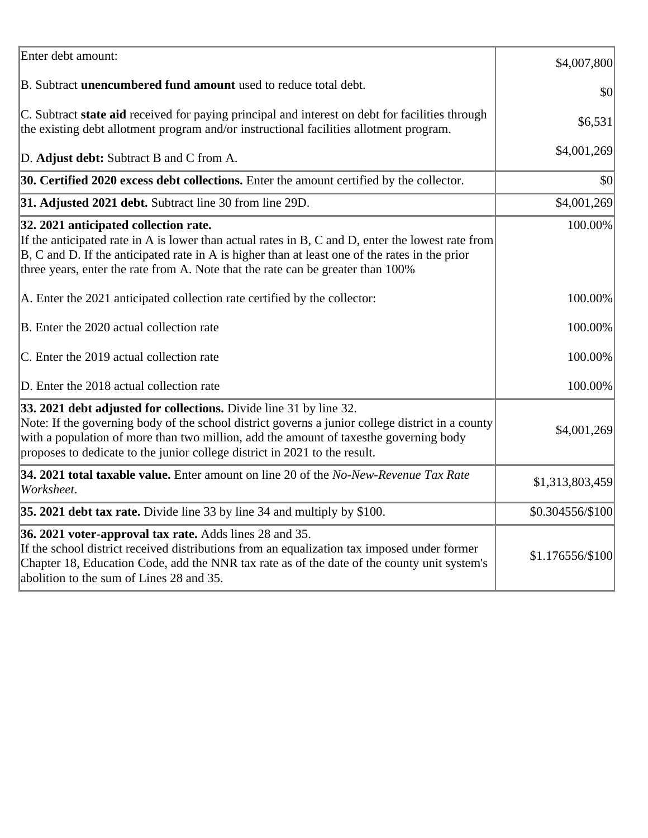| Enter debt amount:                                                                                                                                                                                                                                                                                                                            | \$4,007,800      |
|-----------------------------------------------------------------------------------------------------------------------------------------------------------------------------------------------------------------------------------------------------------------------------------------------------------------------------------------------|------------------|
| B. Subtract <b>unencumbered fund amount</b> used to reduce total debt.                                                                                                                                                                                                                                                                        | \$0              |
| C. Subtract state aid received for paying principal and interest on debt for facilities through<br>the existing debt allotment program and/or instructional facilities allotment program.                                                                                                                                                     | \$6,531          |
| D. Adjust debt: Subtract B and C from A.                                                                                                                                                                                                                                                                                                      | \$4,001,269      |
| 30. Certified 2020 excess debt collections. Enter the amount certified by the collector.                                                                                                                                                                                                                                                      | \$0              |
| 31. Adjusted 2021 debt. Subtract line 30 from line 29D.                                                                                                                                                                                                                                                                                       | \$4,001,269      |
| 32. 2021 anticipated collection rate.<br>If the anticipated rate in A is lower than actual rates in B, C and D, enter the lowest rate from<br>$ B, C$ and D. If the anticipated rate in A is higher than at least one of the rates in the prior<br>three years, enter the rate from A. Note that the rate can be greater than 100%            | 100.00%          |
| A. Enter the 2021 anticipated collection rate certified by the collector:                                                                                                                                                                                                                                                                     | 100.00%          |
| B. Enter the 2020 actual collection rate                                                                                                                                                                                                                                                                                                      | 100.00%          |
| C. Enter the 2019 actual collection rate                                                                                                                                                                                                                                                                                                      | 100.00%          |
| D. Enter the 2018 actual collection rate                                                                                                                                                                                                                                                                                                      | 100.00%          |
| 33. 2021 debt adjusted for collections. Divide line 31 by line 32.<br>Note: If the governing body of the school district governs a junior college district in a county<br>with a population of more than two million, add the amount of taxesthe governing body<br>proposes to dedicate to the junior college district in 2021 to the result. | \$4,001,269      |
| 34. 2021 total taxable value. Enter amount on line 20 of the No-New-Revenue Tax Rate<br>Worksheet.                                                                                                                                                                                                                                            | \$1,313,803,459  |
| 35. 2021 debt tax rate. Divide line 33 by line 34 and multiply by \$100.                                                                                                                                                                                                                                                                      | \$0.304556/\$100 |
| 36. 2021 voter-approval tax rate. Adds lines 28 and 35.<br>If the school district received distributions from an equalization tax imposed under former<br>Chapter 18, Education Code, add the NNR tax rate as of the date of the county unit system's<br>abolition to the sum of Lines 28 and 35.                                             | \$1.176556/\$100 |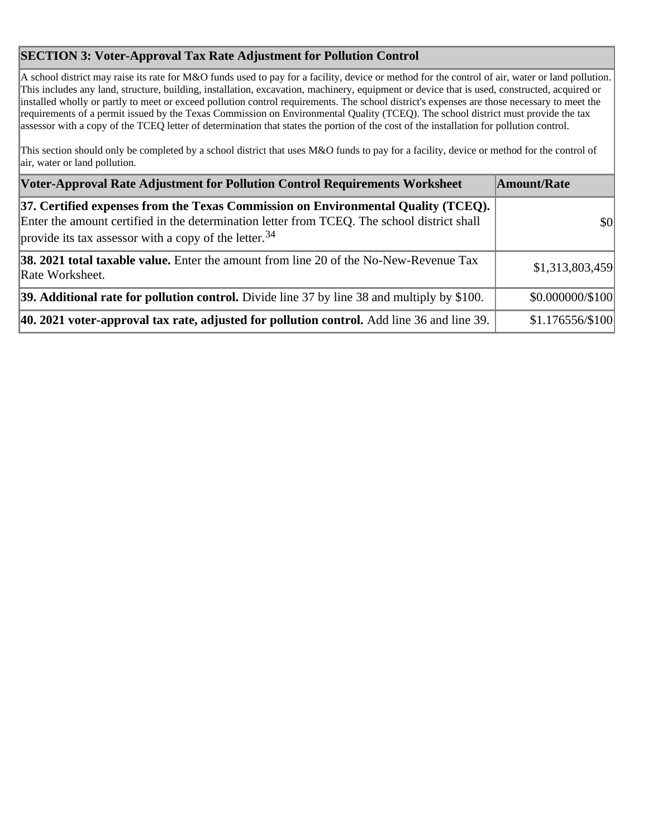## **SECTION 3: Voter-Approval Tax Rate Adjustment for Pollution Control**

A school district may raise its rate for M&O funds used to pay for a facility, device or method for the control of air, water or land pollution. This includes any land, structure, building, installation, excavation, machinery, equipment or device that is used, constructed, acquired or installed wholly or partly to meet or exceed pollution control requirements. The school district's expenses are those necessary to meet the requirements of a permit issued by the Texas Commission on Environmental Quality (TCEQ). The school district must provide the tax assessor with a copy of the TCEQ letter of determination that states the portion of the cost of the installation for pollution control.

This section should only be completed by a school district that uses M&O funds to pay for a facility, device or method for the control of air, water or land pollution.

| Voter-Approval Rate Adjustment for Pollution Control Requirements Worksheet                                                                                                                                                                            | Amount/Rate      |
|--------------------------------------------------------------------------------------------------------------------------------------------------------------------------------------------------------------------------------------------------------|------------------|
| [37. Certified expenses from the Texas Commission on Environmental Quality (TCEQ).<br>Enter the amount certified in the determination letter from TCEQ. The school district shall<br>provide its tax assessor with a copy of the letter. <sup>34</sup> | \$0              |
| <b>38. 2021 total taxable value.</b> Enter the amount from line 20 of the No-New-Revenue Tax<br>Rate Worksheet.                                                                                                                                        | \$1,313,803,459  |
| 39. Additional rate for pollution control. Divide line 37 by line 38 and multiply by \$100.                                                                                                                                                            | \$0.000000/\$100 |
| 40. 2021 voter-approval tax rate, adjusted for pollution control. Add line 36 and line 39.                                                                                                                                                             | \$1.176556/\$100 |